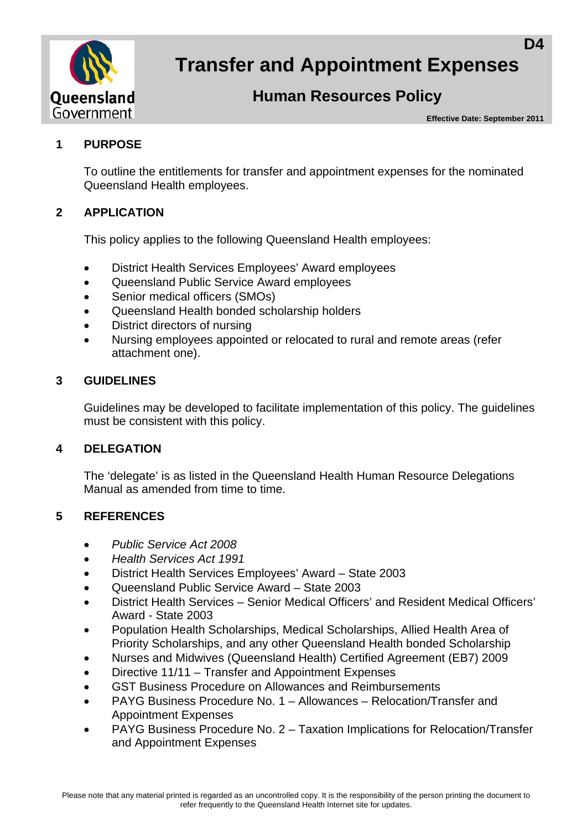

# **Transfer and Appointment Expenses**

## **Human Resources Policy**

**Effective Date: September 2011** 

#### **1 PURPOSE**

To outline the entitlements for transfer and appointment expenses for the nominated Queensland Health employees.

### **2 APPLICATION**

This policy applies to the following Queensland Health employees:

- District Health Services Employees' Award employees
- Queensland Public Service Award employees
- Senior medical officers (SMOs)
- Queensland Health bonded scholarship holders
- District directors of nursing
- Nursing employees appointed or relocated to rural and remote areas (refer attachment one).

#### **3 GUIDELINES**

Guidelines may be developed to facilitate implementation of this policy. The guidelines must be consistent with this policy.

#### **4 DELEGATION**

The 'delegate' is as listed in the Queensland Health Human Resource Delegations Manual as amended from time to time.

#### **5 REFERENCES**

- *Public Service Act 2008*
- *Health Services Act 1991*
- District Health Services Employees' Award State 2003
- Queensland Public Service Award State 2003
- District Health Services Senior Medical Officers' and Resident Medical Officers' Award - State 2003
- Population Health Scholarships, Medical Scholarships, Allied Health Area of Priority Scholarships, and any other Queensland Health bonded Scholarship
- Nurses and Midwives (Queensland Health) Certified Agreement (EB7) 2009
- Directive 11/11 Transfer and Appointment Expenses
- GST Business Procedure on Allowances and Reimbursements
- PAYG Business Procedure No. 1 Allowances Relocation/Transfer and Appointment Expenses
- PAYG Business Procedure No. 2 Taxation Implications for Relocation/Transfer and Appointment Expenses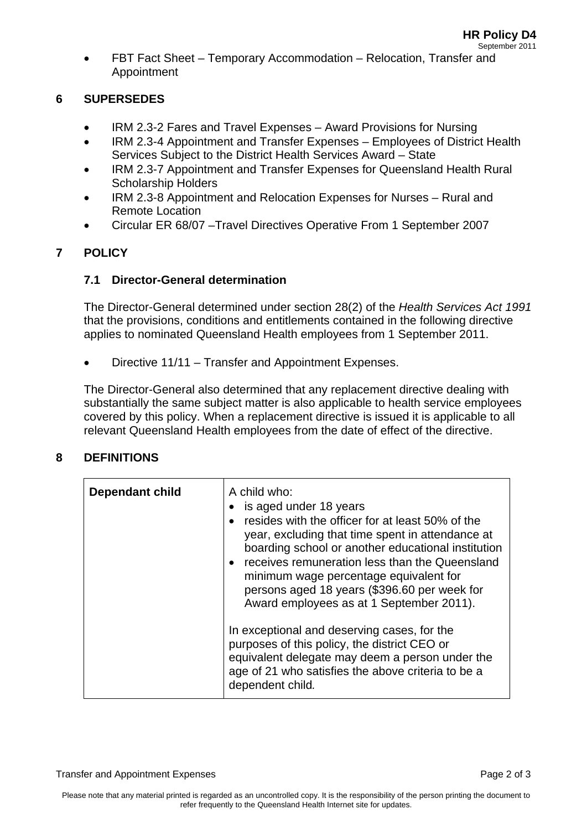FBT Fact Sheet – Temporary Accommodation – Relocation, Transfer and Appointment

#### **6 SUPERSEDES**

- IRM 2.3-2 Fares and Travel Expenses Award Provisions for Nursing
- IRM 2.3-4 Appointment and Transfer Expenses Employees of District Health Services Subject to the District Health Services Award – State
- IRM 2.3-7 Appointment and Transfer Expenses for Queensland Health Rural Scholarship Holders
- IRM 2.3-8 Appointment and Relocation Expenses for Nurses Rural and Remote Location
- Circular ER 68/07 –Travel Directives Operative From 1 September 2007

#### **7 POLICY**

#### **7.1 Director-General determination**

The Director-General determined under section 28(2) of the *Health Services Act 1991*  that the provisions, conditions and entitlements contained in the following directive applies to nominated Queensland Health employees from 1 September 2011.

Directive 11/11 – Transfer and Appointment Expenses.

The Director-General also determined that any replacement directive dealing with substantially the same subject matter is also applicable to health service employees covered by this policy. When a replacement directive is issued it is applicable to all relevant Queensland Health employees from the date of effect of the directive.

#### **8 DEFINITIONS**

| <b>Dependant child</b> | A child who:<br>is aged under 18 years<br>resides with the officer for at least 50% of the<br>year, excluding that time spent in attendance at<br>boarding school or another educational institution<br>• receives remuneration less than the Queensland<br>minimum wage percentage equivalent for<br>persons aged 18 years (\$396.60 per week for<br>Award employees as at 1 September 2011). |
|------------------------|------------------------------------------------------------------------------------------------------------------------------------------------------------------------------------------------------------------------------------------------------------------------------------------------------------------------------------------------------------------------------------------------|
|                        | In exceptional and deserving cases, for the<br>purposes of this policy, the district CEO or<br>equivalent delegate may deem a person under the<br>age of 21 who satisfies the above criteria to be a<br>dependent child.                                                                                                                                                                       |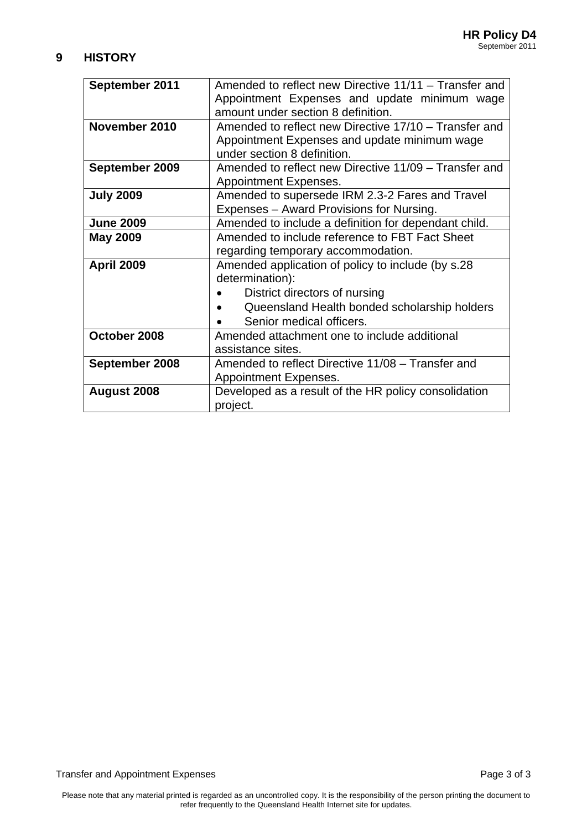#### **9 HISTORY**

| September 2011    | Amended to reflect new Directive 11/11 – Transfer and |
|-------------------|-------------------------------------------------------|
|                   | Appointment Expenses and update minimum wage          |
|                   | amount under section 8 definition.                    |
| November 2010     | Amended to reflect new Directive 17/10 – Transfer and |
|                   | Appointment Expenses and update minimum wage          |
|                   | under section 8 definition.                           |
| September 2009    | Amended to reflect new Directive 11/09 – Transfer and |
|                   | <b>Appointment Expenses.</b>                          |
| <b>July 2009</b>  | Amended to supersede IRM 2.3-2 Fares and Travel       |
|                   | Expenses – Award Provisions for Nursing.              |
| <b>June 2009</b>  | Amended to include a definition for dependant child.  |
| <b>May 2009</b>   | Amended to include reference to FBT Fact Sheet        |
|                   | regarding temporary accommodation.                    |
| <b>April 2009</b> | Amended application of policy to include (by s.28)    |
|                   | determination):                                       |
|                   | District directors of nursing                         |
|                   | Queensland Health bonded scholarship holders          |
|                   | Senior medical officers.                              |
| October 2008      | Amended attachment one to include additional          |
|                   | assistance sites.                                     |
| September 2008    | Amended to reflect Directive 11/08 – Transfer and     |
|                   | Appointment Expenses.                                 |
| August 2008       | Developed as a result of the HR policy consolidation  |
|                   | project.                                              |